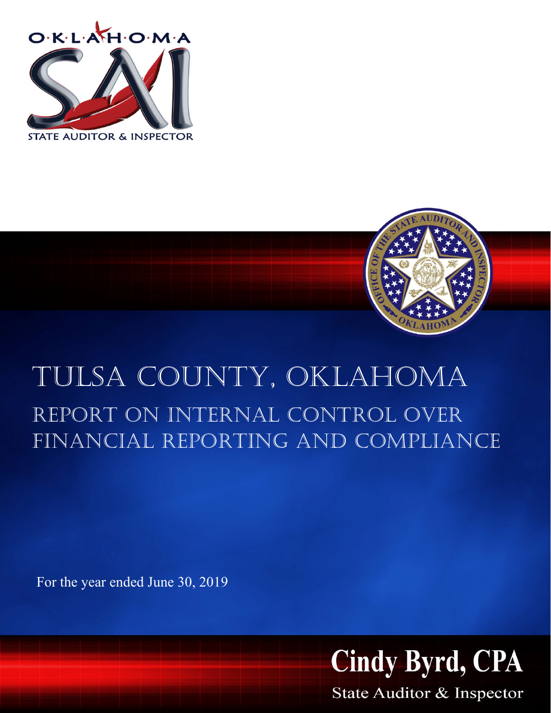



# Tulsa County, Oklahoma report on internal control over financial reporting and compliance

For the year ended June 30, 2019



State Auditor & Inspector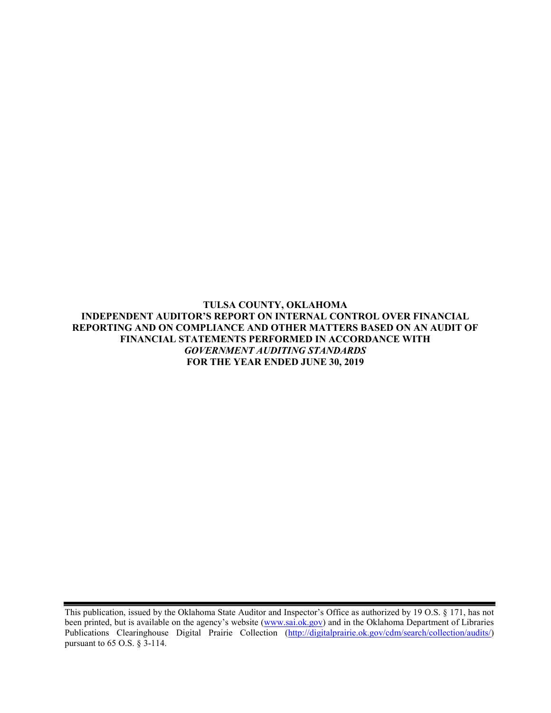**TULSA COUNTY, OKLAHOMA INDEPENDENT AUDITOR'S REPORT ON INTERNAL CONTROL OVER FINANCIAL REPORTING AND ON COMPLIANCE AND OTHER MATTERS BASED ON AN AUDIT OF FINANCIAL STATEMENTS PERFORMED IN ACCORDANCE WITH**  *GOVERNMENT AUDITING STANDARDS* **FOR THE YEAR ENDED JUNE 30, 2019**

This publication, issued by the Oklahoma State Auditor and Inspector's Office as authorized by 19 O.S. § 171, has not been printed, but is available on the agency's website [\(www.sai.ok.gov\)](http://www.sai.ok.gov/) and in the Oklahoma Department of Libraries Publications Clearinghouse Digital Prairie Collection [\(http://digitalprairie.ok.gov/cdm/search/collection/audits/\)](http://digitalprairie.ok.gov/cdm/search/collection/audits/) pursuant to 65 O.S. § 3-114.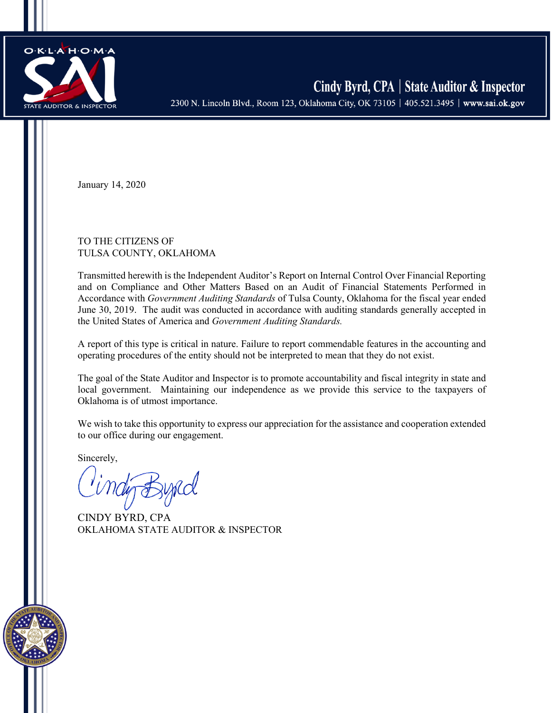

January 14, 2020

TO THE CITIZENS OF TULSA COUNTY, OKLAHOMA

Transmitted herewith is the Independent Auditor's Report on Internal Control Over Financial Reporting and on Compliance and Other Matters Based on an Audit of Financial Statements Performed in Accordance with *Government Auditing Standards* of Tulsa County, Oklahoma for the fiscal year ended June 30, 2019. The audit was conducted in accordance with auditing standards generally accepted in the United States of America and *Government Auditing Standards.*

A report of this type is critical in nature. Failure to report commendable features in the accounting and operating procedures of the entity should not be interpreted to mean that they do not exist.

The goal of the State Auditor and Inspector is to promote accountability and fiscal integrity in state and local government. Maintaining our independence as we provide this service to the taxpayers of Oklahoma is of utmost importance.

We wish to take this opportunity to express our appreciation for the assistance and cooperation extended to our office during our engagement.

Sincerely,

CINDY BYRD, CPA OKLAHOMA STATE AUDITOR & INSPECTOR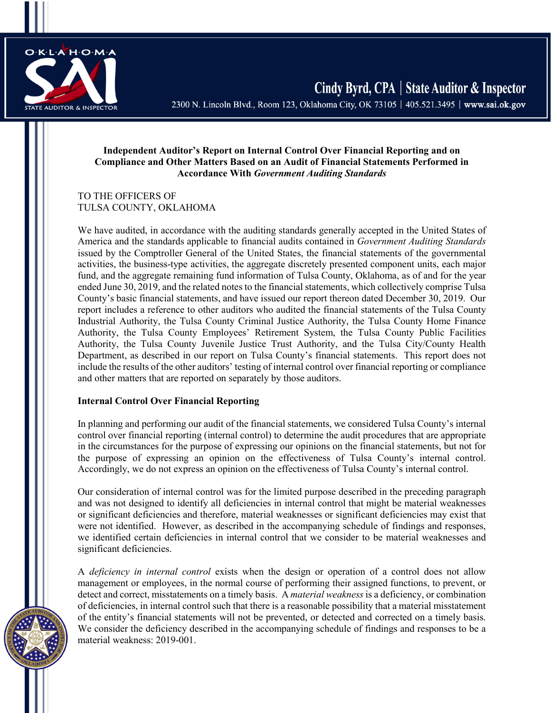

Cindy Byrd, CPA | State Auditor & Inspector 2300 N. Lincoln Blvd., Room 123, Oklahoma City, OK 73105 | 405.521.3495 | www.sai.ok.gov

#### **Independent Auditor's Report on Internal Control Over Financial Reporting and on Compliance and Other Matters Based on an Audit of Financial Statements Performed in Accordance With** *Government Auditing Standards*

TO THE OFFICERS OF TULSA COUNTY, OKLAHOMA

We have audited, in accordance with the auditing standards generally accepted in the United States of America and the standards applicable to financial audits contained in *Government Auditing Standards* issued by the Comptroller General of the United States, the financial statements of the governmental activities, the business-type activities, the aggregate discretely presented component units, each major fund, and the aggregate remaining fund information of Tulsa County, Oklahoma, as of and for the year ended June 30, 2019, and the related notes to the financial statements, which collectively comprise Tulsa County's basic financial statements, and have issued our report thereon dated December 30, 2019. Our report includes a reference to other auditors who audited the financial statements of the Tulsa County Industrial Authority, the Tulsa County Criminal Justice Authority, the Tulsa County Home Finance Authority, the Tulsa County Employees' Retirement System, the Tulsa County Public Facilities Authority, the Tulsa County Juvenile Justice Trust Authority, and the Tulsa City/County Health Department, as described in our report on Tulsa County's financial statements. This report does not include the results of the other auditors' testing of internal control over financial reporting or compliance and other matters that are reported on separately by those auditors.

### **Internal Control Over Financial Reporting**

In planning and performing our audit of the financial statements, we considered Tulsa County's internal control over financial reporting (internal control) to determine the audit procedures that are appropriate in the circumstances for the purpose of expressing our opinions on the financial statements, but not for the purpose of expressing an opinion on the effectiveness of Tulsa County's internal control. Accordingly, we do not express an opinion on the effectiveness of Tulsa County's internal control.

Our consideration of internal control was for the limited purpose described in the preceding paragraph and was not designed to identify all deficiencies in internal control that might be material weaknesses or significant deficiencies and therefore, material weaknesses or significant deficiencies may exist that were not identified. However, as described in the accompanying schedule of findings and responses, we identified certain deficiencies in internal control that we consider to be material weaknesses and significant deficiencies.

A *deficiency in internal control* exists when the design or operation of a control does not allow management or employees, in the normal course of performing their assigned functions, to prevent, or detect and correct, misstatements on a timely basis. A *material weakness* is a deficiency, or combination of deficiencies, in internal control such that there is a reasonable possibility that a material misstatement of the entity's financial statements will not be prevented, or detected and corrected on a timely basis. We consider the deficiency described in the accompanying schedule of findings and responses to be a material weakness: 2019-001.

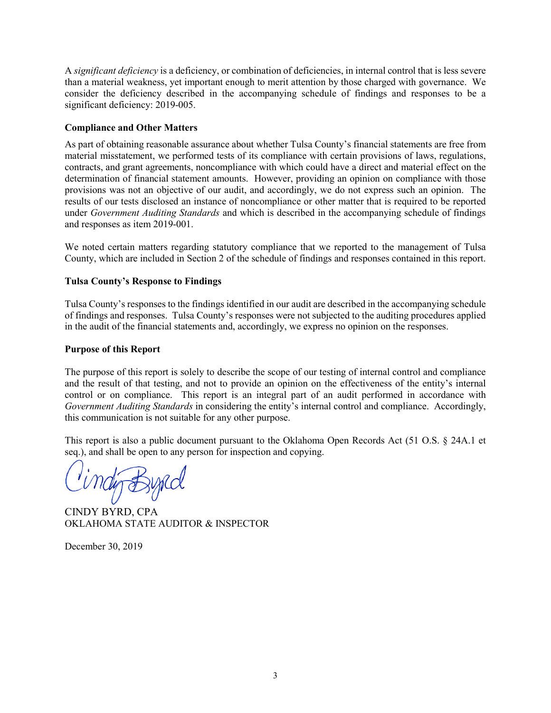A *significant deficiency* is a deficiency, or combination of deficiencies, in internal control that is less severe than a material weakness, yet important enough to merit attention by those charged with governance. We consider the deficiency described in the accompanying schedule of findings and responses to be a significant deficiency: 2019-005.

### **Compliance and Other Matters**

As part of obtaining reasonable assurance about whether Tulsa County's financial statements are free from material misstatement, we performed tests of its compliance with certain provisions of laws, regulations, contracts, and grant agreements, noncompliance with which could have a direct and material effect on the determination of financial statement amounts. However, providing an opinion on compliance with those provisions was not an objective of our audit, and accordingly, we do not express such an opinion. The results of our tests disclosed an instance of noncompliance or other matter that is required to be reported under *Government Auditing Standards* and which is described in the accompanying schedule of findings and responses as item 2019-001.

We noted certain matters regarding statutory compliance that we reported to the management of Tulsa County, which are included in Section 2 of the schedule of findings and responses contained in this report.

## **Tulsa County's Response to Findings**

Tulsa County's responses to the findings identified in our audit are described in the accompanying schedule of findings and responses. Tulsa County's responses were not subjected to the auditing procedures applied in the audit of the financial statements and, accordingly, we express no opinion on the responses.

### **Purpose of this Report**

The purpose of this report is solely to describe the scope of our testing of internal control and compliance and the result of that testing, and not to provide an opinion on the effectiveness of the entity's internal control or on compliance. This report is an integral part of an audit performed in accordance with *Government Auditing Standards* in considering the entity's internal control and compliance. Accordingly, this communication is not suitable for any other purpose.

This report is also a public document pursuant to the Oklahoma Open Records Act (51 O.S. § 24A.1 et seq.), and shall be open to any person for inspection and copying.

CINDY BYRD, CPA OKLAHOMA STATE AUDITOR & INSPECTOR

December 30, 2019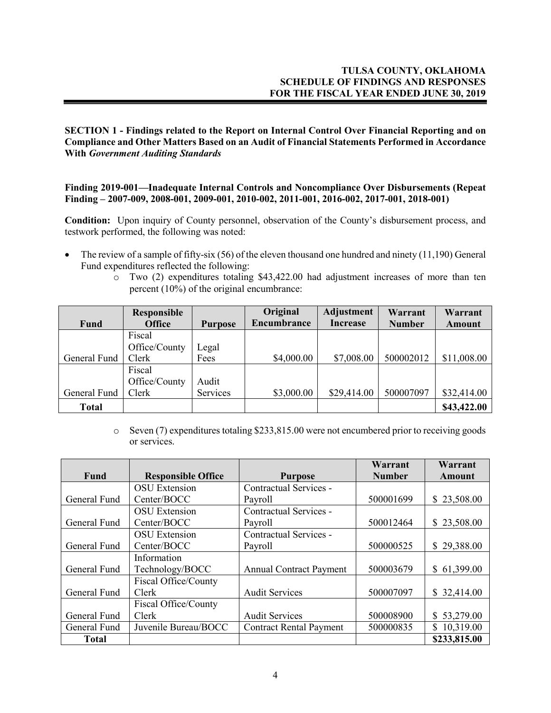**SECTION 1 - Findings related to the Report on Internal Control Over Financial Reporting and on Compliance and Other Matters Based on an Audit of Financial Statements Performed in Accordance With** *Government Auditing Standards* 

**Finding 2019-001—Inadequate Internal Controls and Noncompliance Over Disbursements (Repeat Finding – 2007-009, 2008-001, 2009-001, 2010-002, 2011-001, 2016-002, 2017-001, 2018-001)**

**Condition:** Upon inquiry of County personnel, observation of the County's disbursement process, and testwork performed, the following was noted:

- The review of a sample of fifty-six (56) of the eleven thousand one hundred and ninety (11,190) General Fund expenditures reflected the following:
	- o Two (2) expenditures totaling \$43,422.00 had adjustment increases of more than ten percent (10%) of the original encumbrance:

|              | <b>Responsible</b> |                | Original    | <b>Adjustment</b> | Warrant       | Warrant     |
|--------------|--------------------|----------------|-------------|-------------------|---------------|-------------|
| Fund         | <b>Office</b>      | <b>Purpose</b> | Encumbrance | <b>Increase</b>   | <b>Number</b> | Amount      |
|              | Fiscal             |                |             |                   |               |             |
|              | Office/County      | Legal          |             |                   |               |             |
| General Fund | Clerk              | Fees           | \$4,000.00  | \$7,008.00        | 500002012     | \$11,008.00 |
|              | Fiscal             |                |             |                   |               |             |
|              | Office/County      | Audit          |             |                   |               |             |
| General Fund | Clerk              | Services       | \$3,000.00  | \$29,414.00       | 500007097     | \$32,414.00 |
| <b>Total</b> |                    |                |             |                   |               | \$43,422.00 |

o Seven (7) expenditures totaling \$233,815.00 were not encumbered prior to receiving goods or services.

|              |                           |                                | Warrant       | Warrant      |
|--------------|---------------------------|--------------------------------|---------------|--------------|
| Fund         | <b>Responsible Office</b> | <b>Purpose</b>                 | <b>Number</b> | Amount       |
|              | <b>OSU</b> Extension      | Contractual Services -         |               |              |
| General Fund | Center/BOCC               | Payroll                        | 500001699     | \$23,508.00  |
|              | <b>OSU</b> Extension      | Contractual Services -         |               |              |
| General Fund | Center/BOCC               | Payroll                        | 500012464     | \$23,508.00  |
|              | <b>OSU</b> Extension      | Contractual Services -         |               |              |
| General Fund | Center/BOCC               | Payroll                        | 500000525     | \$29,388.00  |
|              | Information               |                                |               |              |
| General Fund | Technology/BOCC           | <b>Annual Contract Payment</b> | 500003679     | \$61,399.00  |
|              | Fiscal Office/County      |                                |               |              |
| General Fund | Clerk                     | <b>Audit Services</b>          | 500007097     | \$32,414.00  |
|              | Fiscal Office/County      |                                |               |              |
| General Fund | Clerk                     | <b>Audit Services</b>          | 500008900     | \$53,279.00  |
| General Fund | Juvenile Bureau/BOCC      | <b>Contract Rental Payment</b> | 500000835     | \$10,319.00  |
| <b>Total</b> |                           |                                |               | \$233,815.00 |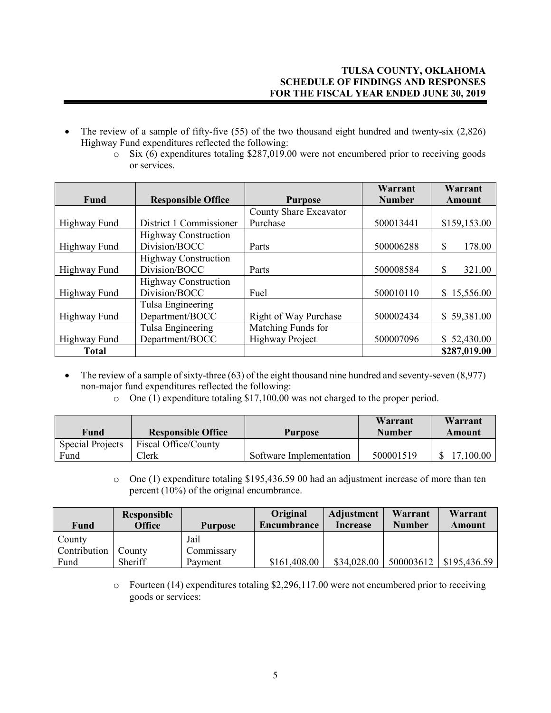- The review of a sample of fifty-five (55) of the two thousand eight hundred and twenty-six (2,826) Highway Fund expenditures reflected the following:
	- $\overline{\text{S}}$  Six (6) expenditures totaling \$287,019.00 were not encumbered prior to receiving goods or services.

|              |                             |                              | Warrant       | Warrant      |
|--------------|-----------------------------|------------------------------|---------------|--------------|
| <b>Fund</b>  | <b>Responsible Office</b>   | <b>Purpose</b>               | <b>Number</b> | Amount       |
|              |                             | County Share Excavator       |               |              |
| Highway Fund | District 1 Commissioner     | Purchase                     | 500013441     | \$159,153.00 |
|              | <b>Highway Construction</b> |                              |               |              |
| Highway Fund | Division/BOCC               | Parts                        | 500006288     | 178.00<br>S  |
|              | <b>Highway Construction</b> |                              |               |              |
| Highway Fund | Division/BOCC               | Parts                        | 500008584     | \$<br>321.00 |
|              | <b>Highway Construction</b> |                              |               |              |
| Highway Fund | Division/BOCC               | Fuel                         | 500010110     | \$15,556.00  |
|              | Tulsa Engineering           |                              |               |              |
| Highway Fund | Department/BOCC             | <b>Right of Way Purchase</b> | 500002434     | \$59,381.00  |
|              | Tulsa Engineering           | Matching Funds for           |               |              |
| Highway Fund | Department/BOCC             | <b>Highway Project</b>       | 500007096     | \$52,430.00  |
| <b>Total</b> |                             |                              |               | \$287,019.00 |

• The review of a sample of sixty-three  $(63)$  of the eight thousand nine hundred and seventy-seven  $(8,977)$ non-major fund expenditures reflected the following:

 $\circ$  One (1) expenditure totaling \$17,100.00 was not charged to the proper period.

| Fund                    | <b>Responsible Office</b> | <b>Purpose</b>          | Warrant<br><b>Number</b> | Warrant<br>Amount |
|-------------------------|---------------------------|-------------------------|--------------------------|-------------------|
| <b>Special Projects</b> | Fiscal Office/County      |                         |                          |                   |
| Fund                    | Clerk                     | Software Implementation | 500001519                | 17,100.00         |

o One (1) expenditure totaling \$195,436.59 00 had an adjustment increase of more than ten percent (10%) of the original encumbrance.

| <b>Fund</b>  | <b>Responsible</b><br><b>Office</b> | <b>Purpose</b> | Original<br>Encumbrance | Adjustment<br><b>Increase</b> | Warrant<br><b>Number</b> | Warrant<br>Amount |
|--------------|-------------------------------------|----------------|-------------------------|-------------------------------|--------------------------|-------------------|
| County       |                                     | Jail           |                         |                               |                          |                   |
| Contribution | County                              | Commissary     |                         |                               |                          |                   |
| Fund         | Sheriff                             | Payment        | \$161,408.00            | \$34,028.00                   | 500003612                | \$195,436.59      |

o Fourteen (14) expenditures totaling \$2,296,117.00 were not encumbered prior to receiving goods or services: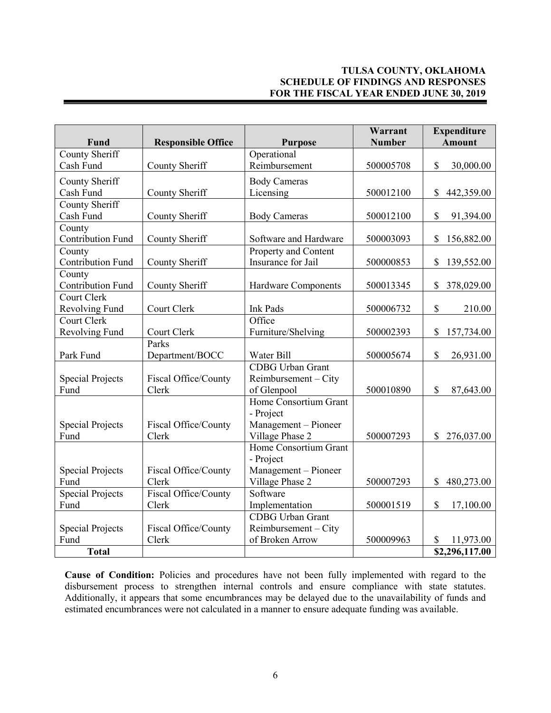# **TULSA COUNTY, OKLAHOMA SCHEDULE OF FINDINGS AND RESPONSES FOR THE FISCAL YEAR ENDED JUNE 30, 2019**

| Fund                     | <b>Responsible Office</b> | <b>Purpose</b>             | Warrant<br><b>Number</b> | Expenditure<br><b>Amount</b> |
|--------------------------|---------------------------|----------------------------|--------------------------|------------------------------|
| <b>County Sheriff</b>    |                           | Operational                |                          |                              |
| Cash Fund                | County Sheriff            | Reimbursement              | 500005708                | \$<br>30,000.00              |
| County Sheriff           |                           | <b>Body Cameras</b>        |                          |                              |
| Cash Fund                | County Sheriff            | Licensing                  | 500012100                | \$<br>442,359.00             |
| County Sheriff           |                           |                            |                          |                              |
| Cash Fund                | County Sheriff            | <b>Body Cameras</b>        | 500012100                | \$<br>91,394.00              |
| County                   |                           |                            |                          |                              |
| <b>Contribution Fund</b> | County Sheriff            | Software and Hardware      | 500003093                | 156,882.00<br>\$             |
| County                   |                           | Property and Content       |                          |                              |
| <b>Contribution Fund</b> | County Sheriff            | Insurance for Jail         | 500000853                | 139,552.00<br>\$             |
| County                   |                           |                            |                          |                              |
| <b>Contribution Fund</b> | County Sheriff            | <b>Hardware Components</b> | 500013345                | \$<br>378,029.00             |
| Court Clerk              |                           |                            |                          |                              |
| Revolving Fund           | Court Clerk               | <b>Ink Pads</b>            | 500006732                | $\mathsf{\$}$<br>210.00      |
| Court Clerk              |                           | Office                     |                          |                              |
| Revolving Fund           | Court Clerk               | Furniture/Shelving         | 500002393                | 157,734.00<br>\$             |
|                          | Parks                     |                            |                          |                              |
| Park Fund                | Department/BOCC           | Water Bill                 | 500005674                | \$<br>26,931.00              |
|                          |                           | <b>CDBG</b> Urban Grant    |                          |                              |
| <b>Special Projects</b>  | Fiscal Office/County      | $Reimbursement - City$     |                          |                              |
| Fund                     | Clerk                     | of Glenpool                | 500010890                | \$<br>87,643.00              |
|                          |                           | Home Consortium Grant      |                          |                              |
|                          |                           | - Project                  |                          |                              |
| <b>Special Projects</b>  | Fiscal Office/County      | Management - Pioneer       |                          |                              |
| Fund                     | Clerk                     | Village Phase 2            | 500007293                | 276,037.00<br>\$             |
|                          |                           | Home Consortium Grant      |                          |                              |
|                          |                           | - Project                  |                          |                              |
| <b>Special Projects</b>  | Fiscal Office/County      | Management - Pioneer       |                          |                              |
| Fund                     | Clerk                     | Village Phase 2            | 500007293                | 480,273.00<br>\$             |
| <b>Special Projects</b>  | Fiscal Office/County      | Software                   |                          |                              |
| Fund                     | Clerk                     | Implementation             | 500001519                | $\mathbb{S}$<br>17,100.00    |
|                          |                           | <b>CDBG</b> Urban Grant    |                          |                              |
| <b>Special Projects</b>  | Fiscal Office/County      | $Reimbursement - City$     |                          |                              |
| Fund                     | Clerk                     | of Broken Arrow            | 500009963                | \$<br>11,973.00              |
| <b>Total</b>             |                           |                            |                          | \$2,296,117.00               |

**Cause of Condition:** Policies and procedures have not been fully implemented with regard to the disbursement process to strengthen internal controls and ensure compliance with state statutes. Additionally, it appears that some encumbrances may be delayed due to the unavailability of funds and estimated encumbrances were not calculated in a manner to ensure adequate funding was available.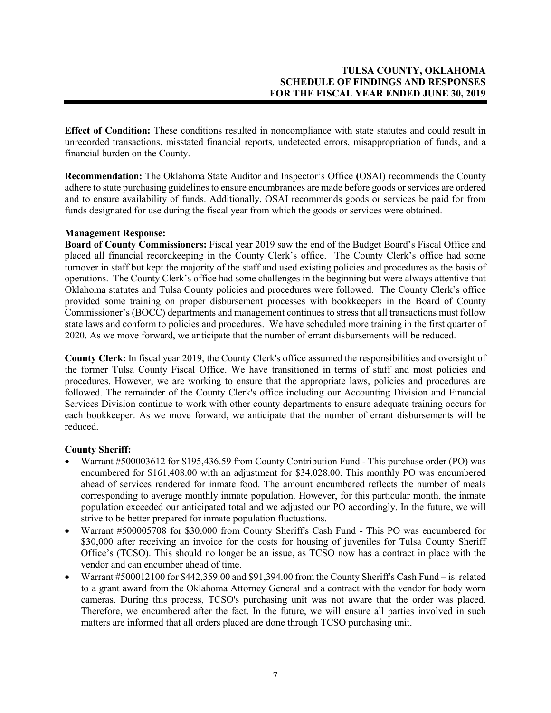**Effect of Condition:** These conditions resulted in noncompliance with state statutes and could result in unrecorded transactions, misstated financial reports, undetected errors, misappropriation of funds, and a financial burden on the County.

**Recommendation:** The Oklahoma State Auditor and Inspector's Office **(**OSAI) recommends the County adhere to state purchasing guidelines to ensure encumbrances are made before goods or services are ordered and to ensure availability of funds. Additionally, OSAI recommends goods or services be paid for from funds designated for use during the fiscal year from which the goods or services were obtained.

## **Management Response:**

**Board of County Commissioners:** Fiscal year 2019 saw the end of the Budget Board's Fiscal Office and placed all financial recordkeeping in the County Clerk's office. The County Clerk's office had some turnover in staff but kept the majority of the staff and used existing policies and procedures as the basis of operations. The County Clerk's office had some challenges in the beginning but were always attentive that Oklahoma statutes and Tulsa County policies and procedures were followed. The County Clerk's office provided some training on proper disbursement processes with bookkeepers in the Board of County Commissioner's (BOCC) departments and management continues to stress that all transactions must follow state laws and conform to policies and procedures. We have scheduled more training in the first quarter of 2020. As we move forward, we anticipate that the number of errant disbursements will be reduced.

**County Clerk:** In fiscal year 2019, the County Clerk's office assumed the responsibilities and oversight of the former Tulsa County Fiscal Office. We have transitioned in terms of staff and most policies and procedures. However, we are working to ensure that the appropriate laws, policies and procedures are followed. The remainder of the County Clerk's office including our Accounting Division and Financial Services Division continue to work with other county departments to ensure adequate training occurs for each bookkeeper. As we move forward, we anticipate that the number of errant disbursements will be reduced.

### **County Sheriff:**

- Warrant #500003612 for \$195,436.59 from County Contribution Fund This purchase order (PO) was encumbered for \$161,408.00 with an adjustment for \$34,028.00. This monthly PO was encumbered ahead of services rendered for inmate food. The amount encumbered reflects the number of meals corresponding to average monthly inmate population. However, for this particular month, the inmate population exceeded our anticipated total and we adjusted our PO accordingly. In the future, we will strive to be better prepared for inmate population fluctuations.
- Warrant #500005708 for \$30,000 from County Sheriff's Cash Fund This PO was encumbered for \$30,000 after receiving an invoice for the costs for housing of juveniles for Tulsa County Sheriff Office's (TCSO). This should no longer be an issue, as TCSO now has a contract in place with the vendor and can encumber ahead of time.
- Warrant #500012100 for \$442,359.00 and \$91,394.00 from the County Sheriff's Cash Fund is related to a grant award from the Oklahoma Attorney General and a contract with the vendor for body worn cameras. During this process, TCSO's purchasing unit was not aware that the order was placed. Therefore, we encumbered after the fact. In the future, we will ensure all parties involved in such matters are informed that all orders placed are done through TCSO purchasing unit.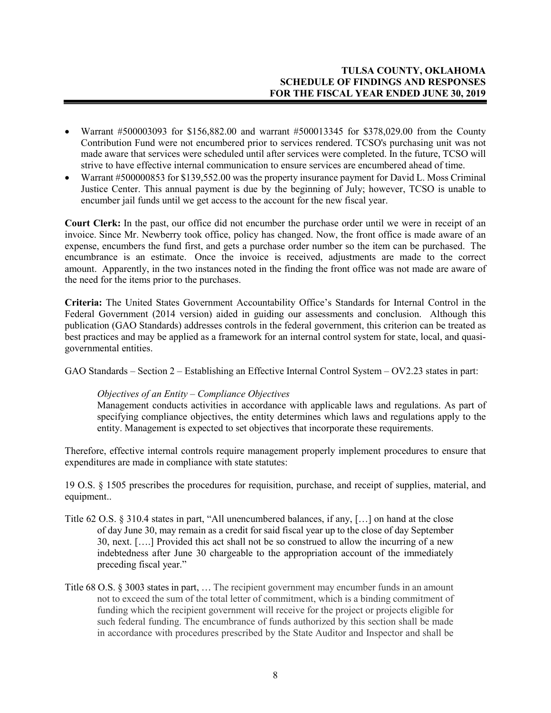- Warrant #500003093 for \$156,882.00 and warrant #500013345 for \$378,029.00 from the County Contribution Fund were not encumbered prior to services rendered. TCSO's purchasing unit was not made aware that services were scheduled until after services were completed. In the future, TCSO will strive to have effective internal communication to ensure services are encumbered ahead of time.
- Warrant #500000853 for \$139,552.00 was the property insurance payment for David L. Moss Criminal Justice Center. This annual payment is due by the beginning of July; however, TCSO is unable to encumber jail funds until we get access to the account for the new fiscal year.

**Court Clerk:** In the past, our office did not encumber the purchase order until we were in receipt of an invoice. Since Mr. Newberry took office, policy has changed. Now, the front office is made aware of an expense, encumbers the fund first, and gets a purchase order number so the item can be purchased. The encumbrance is an estimate. Once the invoice is received, adjustments are made to the correct amount. Apparently, in the two instances noted in the finding the front office was not made are aware of the need for the items prior to the purchases.

**Criteria:** The United States Government Accountability Office's Standards for Internal Control in the Federal Government (2014 version) aided in guiding our assessments and conclusion. Although this publication (GAO Standards) addresses controls in the federal government, this criterion can be treated as best practices and may be applied as a framework for an internal control system for state, local, and quasigovernmental entities.

GAO Standards – Section 2 – Establishing an Effective Internal Control System – OV2.23 states in part:

## *Objectives of an Entity – Compliance Objectives*

Management conducts activities in accordance with applicable laws and regulations. As part of specifying compliance objectives, the entity determines which laws and regulations apply to the entity. Management is expected to set objectives that incorporate these requirements.

Therefore, effective internal controls require management properly implement procedures to ensure that expenditures are made in compliance with state statutes:

19 O.S. § 1505 prescribes the procedures for requisition, purchase, and receipt of supplies, material, and equipment..

- Title 62 O.S. § 310.4 states in part, "All unencumbered balances, if any, […] on hand at the close of day June 30, may remain as a credit for said fiscal year up to the close of day September 30, next. [….] Provided this act shall not be so construed to allow the incurring of a new indebtedness after June 30 chargeable to the appropriation account of the immediately preceding fiscal year."
- Title 68 O.S. § 3003 states in part, … The recipient government may encumber funds in an amount not to exceed the sum of the total letter of commitment, which is a binding commitment of funding which the recipient government will receive for the project or projects eligible for such federal funding. The encumbrance of funds authorized by this section shall be made in accordance with procedures prescribed by the State Auditor and Inspector and shall be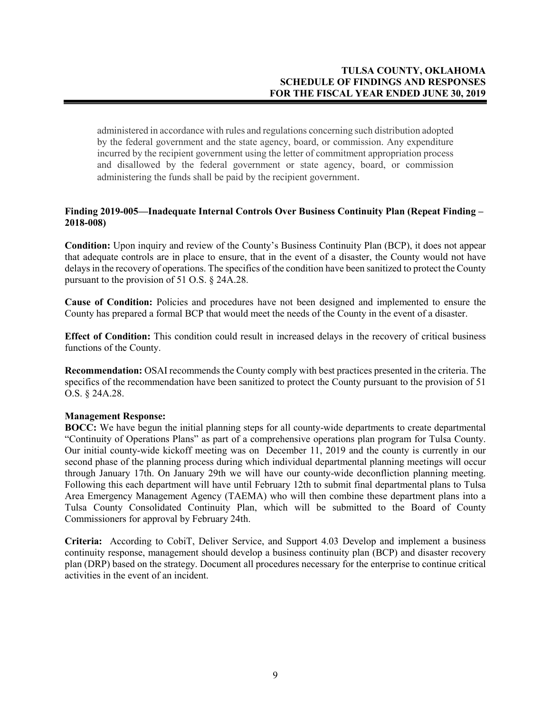administered in accordance with rules and regulations concerning such distribution adopted by the federal government and the state agency, board, or commission. Any expenditure incurred by the recipient government using the letter of commitment appropriation process and disallowed by the federal government or state agency, board, or commission administering the funds shall be paid by the recipient government.

## **Finding 2019-005—Inadequate Internal Controls Over Business Continuity Plan (Repeat Finding – 2018-008)**

**Condition:** Upon inquiry and review of the County's Business Continuity Plan (BCP), it does not appear that adequate controls are in place to ensure, that in the event of a disaster, the County would not have delays in the recovery of operations. The specifics of the condition have been sanitized to protect the County pursuant to the provision of 51 O.S. § 24A.28.

**Cause of Condition:** Policies and procedures have not been designed and implemented to ensure the County has prepared a formal BCP that would meet the needs of the County in the event of a disaster.

**Effect of Condition:** This condition could result in increased delays in the recovery of critical business functions of the County.

**Recommendation:** OSAI recommends the County comply with best practices presented in the criteria. The specifics of the recommendation have been sanitized to protect the County pursuant to the provision of 51 O.S. § 24A.28.

### **Management Response:**

**BOCC:** We have begun the initial planning steps for all county-wide departments to create departmental "Continuity of Operations Plans" as part of a comprehensive operations plan program for Tulsa County. Our initial county-wide kickoff meeting was on December 11, 2019 and the county is currently in our second phase of the planning process during which individual departmental planning meetings will occur through January 17th. On January 29th we will have our county-wide deconfliction planning meeting. Following this each department will have until February 12th to submit final departmental plans to Tulsa Area Emergency Management Agency (TAEMA) who will then combine these department plans into a Tulsa County Consolidated Continuity Plan, which will be submitted to the Board of County Commissioners for approval by February 24th.

**Criteria:** According to CobiT, Deliver Service, and Support 4.03 Develop and implement a business continuity response, management should develop a business continuity plan (BCP) and disaster recovery plan (DRP) based on the strategy. Document all procedures necessary for the enterprise to continue critical activities in the event of an incident.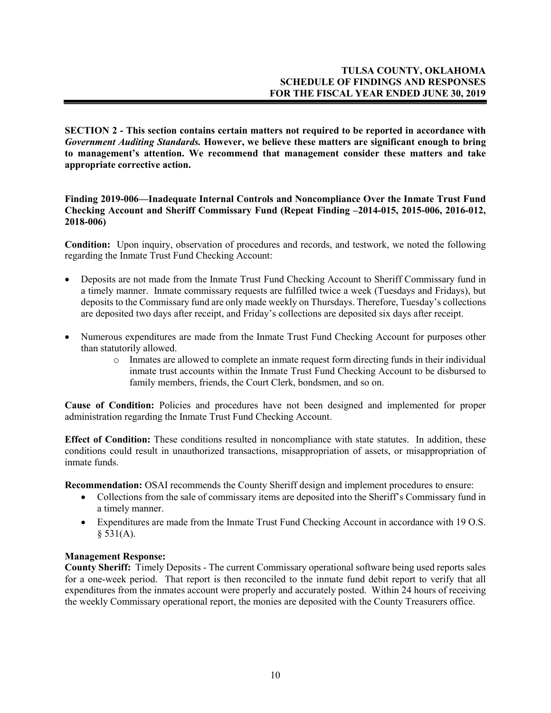**SECTION 2 - This section contains certain matters not required to be reported in accordance with**  *Government Auditing Standards.* **However, we believe these matters are significant enough to bring to management's attention. We recommend that management consider these matters and take appropriate corrective action.**

**Finding 2019-006—Inadequate Internal Controls and Noncompliance Over the Inmate Trust Fund Checking Account and Sheriff Commissary Fund (Repeat Finding –2014-015, 2015-006, 2016-012, 2018-006)**

**Condition:** Upon inquiry, observation of procedures and records, and testwork, we noted the following regarding the Inmate Trust Fund Checking Account:

- Deposits are not made from the Inmate Trust Fund Checking Account to Sheriff Commissary fund in a timely manner. Inmate commissary requests are fulfilled twice a week (Tuesdays and Fridays), but deposits to the Commissary fund are only made weekly on Thursdays. Therefore, Tuesday's collections are deposited two days after receipt, and Friday's collections are deposited six days after receipt.
- Numerous expenditures are made from the Inmate Trust Fund Checking Account for purposes other than statutorily allowed.
	- o Inmates are allowed to complete an inmate request form directing funds in their individual inmate trust accounts within the Inmate Trust Fund Checking Account to be disbursed to family members, friends, the Court Clerk, bondsmen, and so on.

**Cause of Condition:** Policies and procedures have not been designed and implemented for proper administration regarding the Inmate Trust Fund Checking Account.

**Effect of Condition:** These conditions resulted in noncompliance with state statutes. In addition, these conditions could result in unauthorized transactions, misappropriation of assets, or misappropriation of inmate funds.

**Recommendation:** OSAI recommends the County Sheriff design and implement procedures to ensure:

- Collections from the sale of commissary items are deposited into the Sheriff's Commissary fund in a timely manner.
- Expenditures are made from the Inmate Trust Fund Checking Account in accordance with 19 O.S.  $§ 531(A).$

### **Management Response:**

**County Sheriff:** Timely Deposits - The current Commissary operational software being used reports sales for a one-week period. That report is then reconciled to the inmate fund debit report to verify that all expenditures from the inmates account were properly and accurately posted. Within 24 hours of receiving the weekly Commissary operational report, the monies are deposited with the County Treasurers office.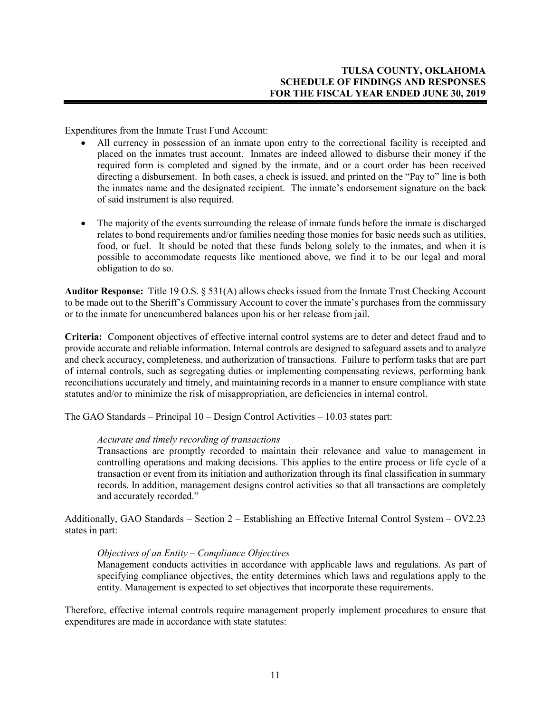Expenditures from the Inmate Trust Fund Account:

- All currency in possession of an inmate upon entry to the correctional facility is receipted and placed on the inmates trust account. Inmates are indeed allowed to disburse their money if the required form is completed and signed by the inmate, and or a court order has been received directing a disbursement. In both cases, a check is issued, and printed on the "Pay to" line is both the inmates name and the designated recipient. The inmate's endorsement signature on the back of said instrument is also required.
- The majority of the events surrounding the release of inmate funds before the inmate is discharged relates to bond requirements and/or families needing those monies for basic needs such as utilities, food, or fuel. It should be noted that these funds belong solely to the inmates, and when it is possible to accommodate requests like mentioned above, we find it to be our legal and moral obligation to do so.

**Auditor Response:** Title 19 O.S. § 531(A) allows checks issued from the Inmate Trust Checking Account to be made out to the Sheriff's Commissary Account to cover the inmate's purchases from the commissary or to the inmate for unencumbered balances upon his or her release from jail.

**Criteria:** Component objectives of effective internal control systems are to deter and detect fraud and to provide accurate and reliable information. Internal controls are designed to safeguard assets and to analyze and check accuracy, completeness, and authorization of transactions. Failure to perform tasks that are part of internal controls, such as segregating duties or implementing compensating reviews, performing bank reconciliations accurately and timely, and maintaining records in a manner to ensure compliance with state statutes and/or to minimize the risk of misappropriation, are deficiencies in internal control.

The GAO Standards – Principal 10 – Design Control Activities – 10.03 states part:

#### *Accurate and timely recording of transactions*

Transactions are promptly recorded to maintain their relevance and value to management in controlling operations and making decisions. This applies to the entire process or life cycle of a transaction or event from its initiation and authorization through its final classification in summary records. In addition, management designs control activities so that all transactions are completely and accurately recorded."

Additionally, GAO Standards – Section 2 – Establishing an Effective Internal Control System – OV2.23 states in part:

#### *Objectives of an Entity – Compliance Objectives*

Management conducts activities in accordance with applicable laws and regulations. As part of specifying compliance objectives, the entity determines which laws and regulations apply to the entity. Management is expected to set objectives that incorporate these requirements.

Therefore, effective internal controls require management properly implement procedures to ensure that expenditures are made in accordance with state statutes: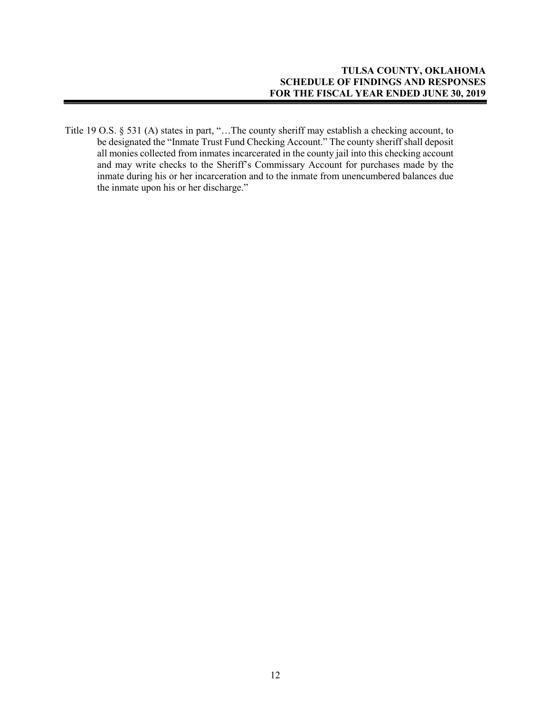Title 19 O.S. § 531 (A) states in part, "…The county sheriff may establish a checking account, to be designated the "Inmate Trust Fund Checking Account." The county sheriff shall deposit all monies collected from inmates incarcerated in the county jail into this checking account and may write checks to the Sheriff's Commissary Account for purchases made by the inmate during his or her incarceration and to the inmate from unencumbered balances due the inmate upon his or her discharge."